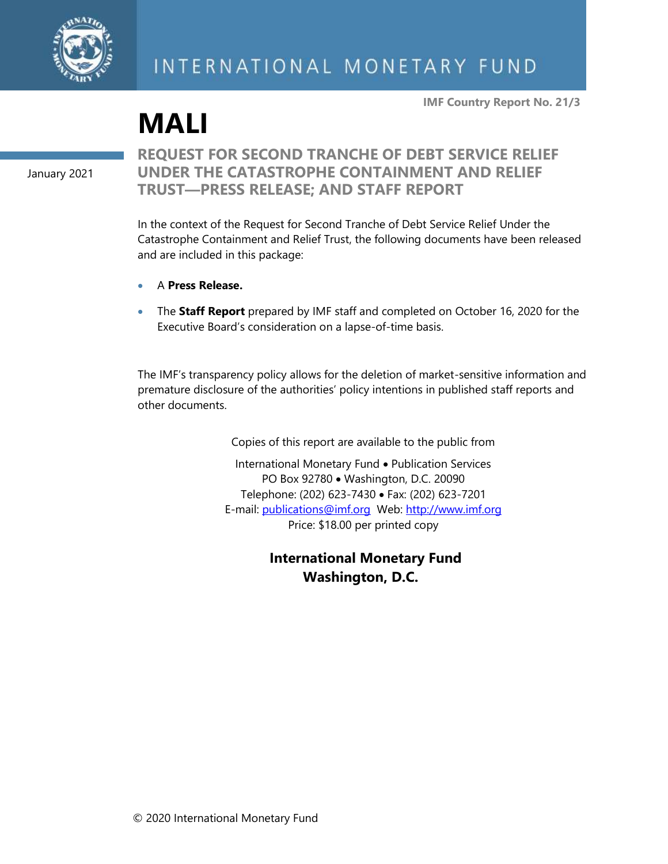

**IMF Country Report No. 21/3**

**MALI**

January 2021

### **REQUEST FOR SECOND TRANCHE OF DEBT SERVICE RELIEF UNDER THE CATASTROPHE CONTAINMENT AND RELIEF TRUST—PRESS RELEASE; AND STAFF REPORT**

In the context of the Request for Second Tranche of Debt Service Relief Under the Catastrophe Containment and Relief Trust, the following documents have been released and are included in this package:

- A **Press Release.**
- The **Staff Report** prepared by IMF staff and completed on October 16, 2020 for the Executive Board's consideration on a lapse-of-time basis.

The IMF's transparency policy allows for the deletion of market-sensitive information and premature disclosure of the authorities' policy intentions in published staff reports and other documents.

Copies of this report are available to the public from

International Monetary Fund • Publication Services PO Box 92780 • Washington, D.C. 20090 Telephone: (202) 623-7430 • Fax: (202) 623-7201 E-mail: [publications@imf.org](mailto:publications@imf.org) Web: [http://www.imf.org](http://www.imf.org/) Price: \$18.00 per printed copy

> **International Monetary Fund Washington, D.C.**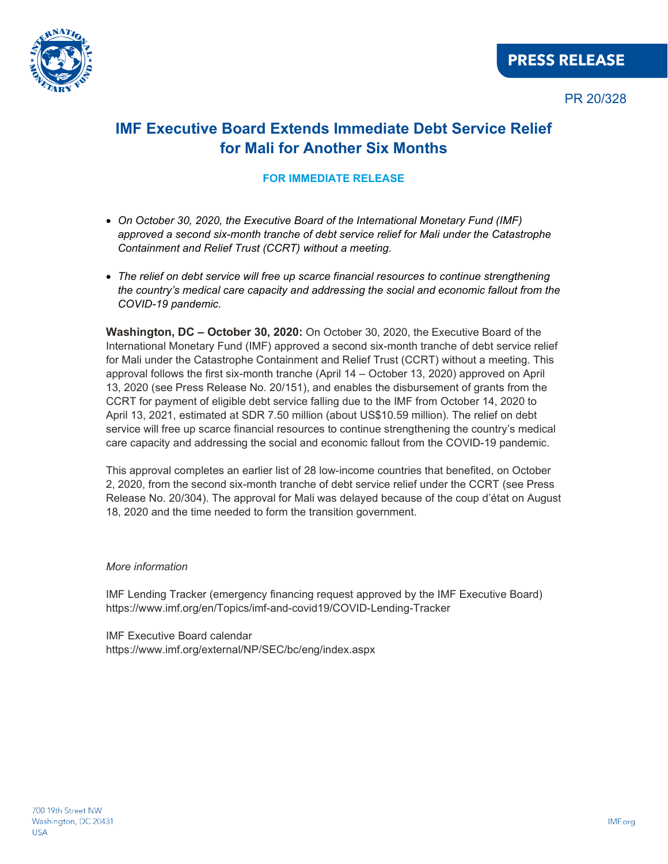

## **IMF Executive Board Extends Immediate Debt Service Relief for Mali for Another Six Months**

#### **FOR IMMEDIATE RELEASE**

- *On October 30, 2020, the Executive Board of the International Monetary Fund (IMF) approved a second six-month tranche of debt service relief for Mali under the [Catastrophe](https://www.imf.org/en/Publications/Policy-Papers/Issues/2020/10/06/Catastrophe-Containment-and-Relief-Trust-Second-Tranche-Of-Debt-Service-Relief-In-The-49810)  [Containment and Relief Trust \(CCRT\)](https://www.imf.org/en/Publications/Policy-Papers/Issues/2020/10/06/Catastrophe-Containment-and-Relief-Trust-Second-Tranche-Of-Debt-Service-Relief-In-The-49810) without a meeting.*
- *The relief on debt service will free up scarce financial resources to continue strengthening the country's medical care capacity and addressing the social and economic fallout from the COVID-19 pandemic.*

**Washington, DC – October 30, 2020:** On October 30, 2020, the Executive Board of the International Monetary Fund (IMF) approved a second six-month tranche of debt service relief for Mali under the [Catastrophe Containment and Relief Trust \(CCRT\)](https://www.imf.org/en/Publications/Policy-Papers/Issues/2020/10/06/Catastrophe-Containment-and-Relief-Trust-Second-Tranche-Of-Debt-Service-Relief-In-The-49810) without a meeting. This approval follows the first six-month tranche (April 14 – October 13, 2020) approved on April 13, 2020 [\(see Press Release No. 20/151\),](https://www.imf.org/en/News/Articles/2020/04/13/pr20151-imf-executive-board-approves-immediate-debt-relief-for-25-countries) and enables the disbursement of grants from the CCRT for payment of eligible debt service falling due to the IMF from October 14, 2020 to April 13, 2021, estimated at SDR 7.50 million (about US\$10.59 million). The relief on debt service will free up scarce financial resources to continue strengthening the country's medical care capacity and addressing the social and economic fallout from the COVID-19 pandemic.

This approval completes an earlier list of 28 low-income countries that benefited, on October 2, 2020, from the second six-month tranche of debt service relief under the CCRT [\(see Press](https://www.imf.org/en/News/Articles/2020/10/02/pr20304-imf-executive-board-extends-immediate-debt-service-relief-28-eligible-lics-six-months)  [Release No. 20/304\).](https://www.imf.org/en/News/Articles/2020/10/02/pr20304-imf-executive-board-extends-immediate-debt-service-relief-28-eligible-lics-six-months) The approval for Mali was delayed because of the coup d'état on August 18, 2020 and the time needed to form the transition government.

#### *More information*

IMF Lending Tracker (emergency financing request approved by the IMF Executive Board) <https://www.imf.org/en/Topics/imf-and-covid19/COVID-Lending-Tracker>

IMF Executive Board calendar <https://www.imf.org/external/NP/SEC/bc/eng/index.aspx>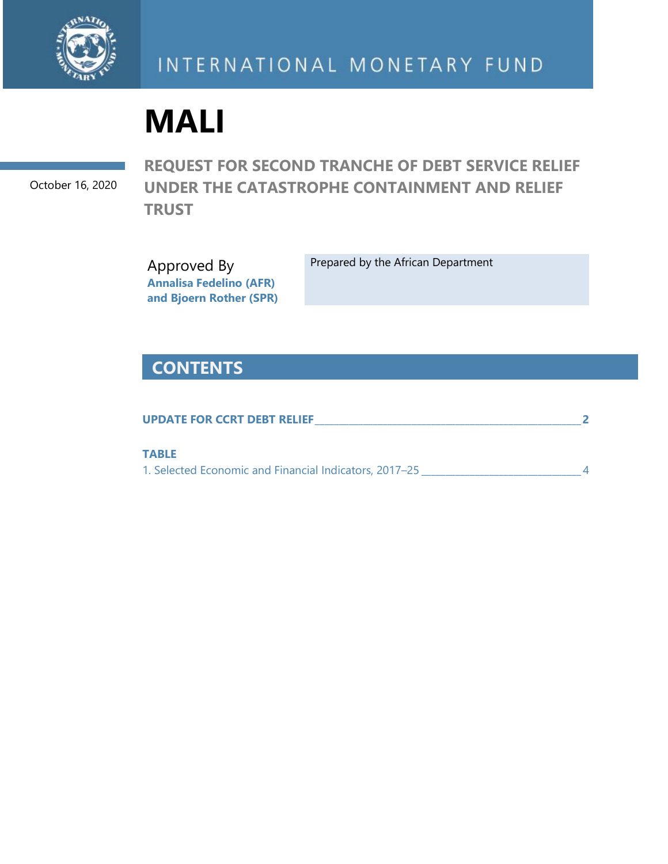

# **MALI**

October 16, 2020

**REQUEST FOR SECOND TRANCHE OF DEBT SERVICE RELIEF UNDER THE CATASTROPHE CONTAINMENT AND RELIEF TRUST** 

Approved By **Annalisa Fedelino (AFR) and Bjoern Rother (SPR)** Prepared by the African Department

## **CONTENTS**

| <b>UPDATE FOR CCRT DEBT RELIEF</b>                     |  |
|--------------------------------------------------------|--|
| <b>TABLE</b>                                           |  |
| 1. Selected Economic and Financial Indicators, 2017–25 |  |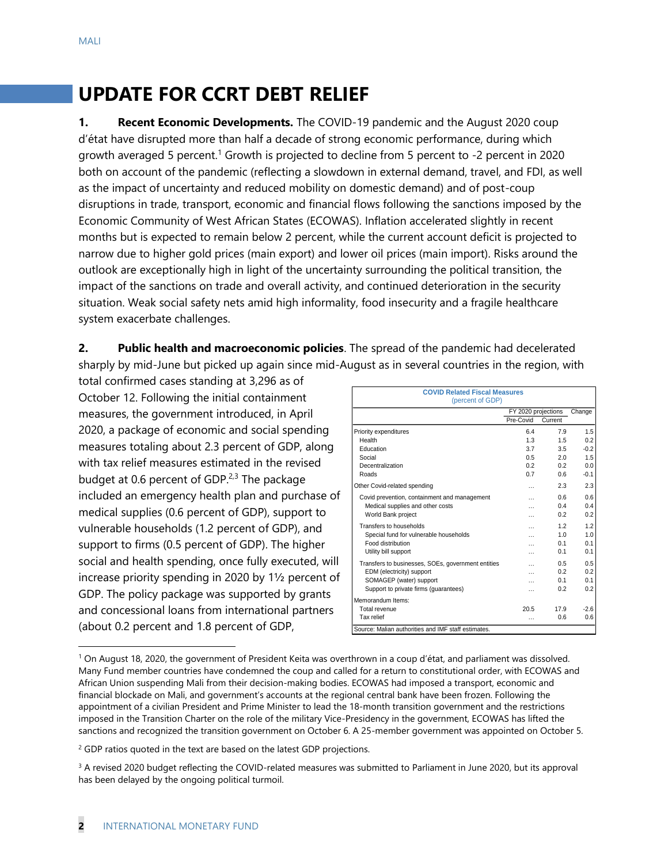# **UPDATE FOR CCRT DEBT RELIEF**

**1. Recent Economic Developments.** The COVID-19 pandemic and the August 2020 coup d'état have disrupted more than half a decade of strong economic performance, during which growth averaged 5 percent.<sup>1</sup> Growth is projected to decline from 5 percent to -2 percent in 2020 both on account of the pandemic (reflecting a slowdown in external demand, travel, and FDI, as well as the impact of uncertainty and reduced mobility on domestic demand) and of post-coup disruptions in trade, transport, economic and financial flows following the sanctions imposed by the Economic Community of West African States (ECOWAS). Inflation accelerated slightly in recent months but is expected to remain below 2 percent, while the current account deficit is projected to narrow due to higher gold prices (main export) and lower oil prices (main import). Risks around the outlook are exceptionally high in light of the uncertainty surrounding the political transition, the impact of the sanctions on trade and overall activity, and continued deterioration in the security situation. Weak social safety nets amid high informality, food insecurity and a fragile healthcare system exacerbate challenges.

**2. Public health and macroeconomic policies**. The spread of the pandemic had decelerated sharply by mid-June but picked up again since mid-August as in several countries in the region, with

total confirmed cases standing at 3,296 as of October 12. Following the initial containment measures, the government introduced, in April 2020, a package of economic and social spending measures totaling about 2.3 percent of GDP, along with tax relief measures estimated in the revised budget at 0.6 percent of GDP. $2,3$  The package included an emergency health plan and purchase of medical supplies (0.6 percent of GDP), support to vulnerable households (1.2 percent of GDP), and support to firms (0.5 percent of GDP). The higher social and health spending, once fully executed, will increase priority spending in 2020 by 1½ percent of GDP. The policy package was supported by grants and concessional loans from international partners (about 0.2 percent and 1.8 percent of GDP,

| <b>COVID Related Fiscal Measures</b><br>(percent of GDP) |                     |                |        |  |  |  |  |  |  |
|----------------------------------------------------------|---------------------|----------------|--------|--|--|--|--|--|--|
|                                                          | FY 2020 projections | Change         |        |  |  |  |  |  |  |
|                                                          | Pre-Covid           | Current        |        |  |  |  |  |  |  |
| Priority expenditures                                    | 6.4                 | 7.9            | 1.5    |  |  |  |  |  |  |
| Health                                                   | 1.3                 | 15             | 0.2    |  |  |  |  |  |  |
| Education                                                | 3.7                 | 3.5            | $-0.2$ |  |  |  |  |  |  |
| Social                                                   | 0.5                 | 20             | 1.5    |  |  |  |  |  |  |
| Decentralization                                         | 0.2                 | 0.2            | 0.0    |  |  |  |  |  |  |
| Roads                                                    | 0.7                 | 0 R            | $-0.1$ |  |  |  |  |  |  |
| Other Covid-related spending                             | $\cdots$            | 2.3            | 2.3    |  |  |  |  |  |  |
| Covid prevention, containment and management             | .                   | 0.6            | 0.6    |  |  |  |  |  |  |
| Medical supplies and other costs                         |                     | 0.4            | 0.4    |  |  |  |  |  |  |
| World Bank project                                       | .                   | 02             | 0.2    |  |  |  |  |  |  |
| Transfers to households                                  | .                   | 12             | 1.2    |  |  |  |  |  |  |
| Special fund for vulnerable households                   |                     | 1 <sub>0</sub> | 1.0    |  |  |  |  |  |  |
| Food distribution                                        |                     | 0.1            | 0.1    |  |  |  |  |  |  |
| Utility bill support                                     | .                   | 0 <sub>1</sub> | 0.1    |  |  |  |  |  |  |
| Transfers to businesses, SOEs, government entities       | .                   | 0.5            | 0.5    |  |  |  |  |  |  |
| EDM (electricity) support                                | .                   | 0.2            | 0.2    |  |  |  |  |  |  |
| SOMAGEP (water) support                                  | .                   | 0 <sub>1</sub> | 0.1    |  |  |  |  |  |  |
| Support to private firms (quarantees)                    | .                   | 0.2            | 0.2    |  |  |  |  |  |  |
| Memorandum Items:                                        |                     |                |        |  |  |  |  |  |  |
| Total revenue                                            | 20.5                | 17.9           | $-2.6$ |  |  |  |  |  |  |
| Tax relief                                               | .                   | 0.6            | 0.6    |  |  |  |  |  |  |
| Source: Malian authorities and IMF staff estimates.      |                     |                |        |  |  |  |  |  |  |

<sup>1</sup> On August 18, 2020, the government of President Keita was overthrown in a coup d'état, and parliament was dissolved. Many Fund member countries have condemned the coup and called for a return to constitutional order, with ECOWAS and African Union suspending Mali from their decision-making bodies. ECOWAS had imposed a transport, economic and financial blockade on Mali, and government's accounts at the regional central bank have been frozen. Following the appointment of a civilian President and Prime Minister to lead the 18-month transition government and the restrictions imposed in the Transition Charter on the role of the military Vice-Presidency in the government, ECOWAS has lifted the sanctions and recognized the transition government on October 6. A 25-member government was appointed on October 5.

<sup>&</sup>lt;sup>2</sup> GDP ratios quoted in the text are based on the latest GDP projections.

<sup>&</sup>lt;sup>3</sup> A revised 2020 budget reflecting the COVID-related measures was submitted to Parliament in June 2020, but its approval has been delayed by the ongoing political turmoil.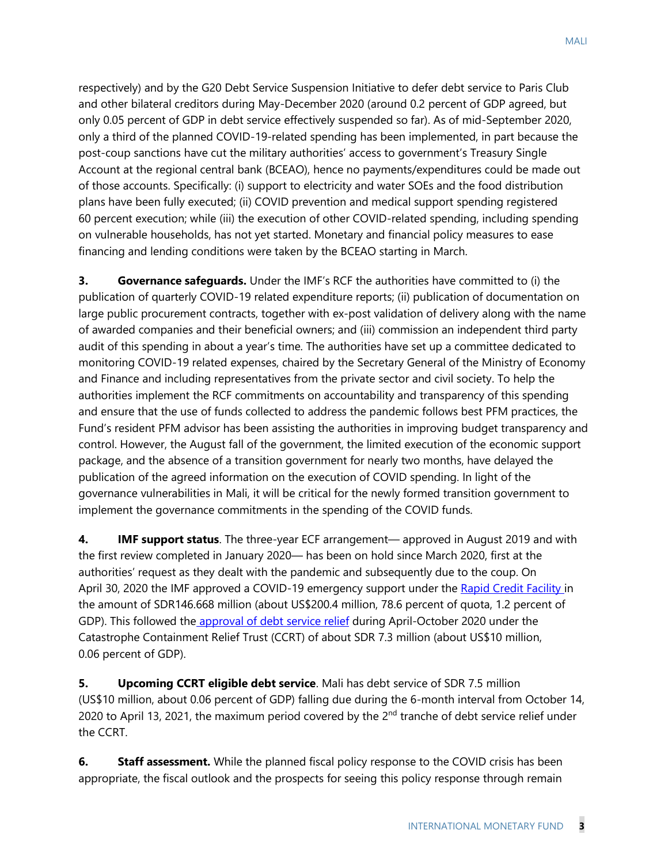MALI

respectively) and by the G20 Debt Service Suspension Initiative to defer debt service to Paris Club and other bilateral creditors during May-December 2020 (around 0.2 percent of GDP agreed, but only 0.05 percent of GDP in debt service effectively suspended so far). As of mid-September 2020, only a third of the planned COVID-19-related spending has been implemented, in part because the post-coup sanctions have cut the military authorities' access to government's Treasury Single Account at the regional central bank (BCEAO), hence no payments/expenditures could be made out of those accounts. Specifically: (i) support to electricity and water SOEs and the food distribution plans have been fully executed; (ii) COVID prevention and medical support spending registered 60 percent execution; while (iii) the execution of other COVID-related spending, including spending on vulnerable households, has not yet started. Monetary and financial policy measures to ease financing and lending conditions were taken by the BCEAO starting in March.

**3. Governance safeguards.** Under the IMF's RCF the authorities have committed to (i) the publication of quarterly COVID-19 related expenditure reports; (ii) publication of documentation on large public procurement contracts, together with ex-post validation of delivery along with the name of awarded companies and their beneficial owners; and (iii) commission an independent third party audit of this spending in about a year's time. The authorities have set up a committee dedicated to monitoring COVID-19 related expenses, chaired by the Secretary General of the Ministry of Economy and Finance and including representatives from the private sector and civil society. To help the authorities implement the RCF commitments on accountability and transparency of this spending and ensure that the use of funds collected to address the pandemic follows best PFM practices, the Fund's resident PFM advisor has been assisting the authorities in improving budget transparency and control. However, the August fall of the government, the limited execution of the economic support package, and the absence of a transition government for nearly two months, have delayed the publication of the agreed information on the execution of COVID spending. In light of the governance vulnerabilities in Mali, it will be critical for the newly formed transition government to implement the governance commitments in the spending of the COVID funds.

**4. IMF support status**. The three-year ECF arrangement— approved in August 2019 and with the first review completed in January 2020— has been on hold since March 2020, first at the authorities' request as they dealt with the pandemic and subsequently due to the coup. On April 30, 2020 the IMF approved a COVID-19 emergency support under the [Rapid Credit Facility i](https://www.imf.org/en/News/Articles/2020/04/30/pr20196-mali-imf-executive-board-approves-disbursement-to-mali-to-address-the-covid-19-pandemic)n the amount of SDR146.668 million (about US\$200.4 million, 78.6 percent of quota, 1.2 percent of GDP). This followed the [approval of debt service relief](https://www.imf.org/en/News/Articles/2020/04/16/pr20165-board-approves-immediate-debt-service-relief-for-25-eligible-low-income-countries) during April-October 2020 under the Catastrophe Containment Relief Trust (CCRT) of about SDR 7.3 million (about US\$10 million, 0.06 percent of GDP).

**5. Upcoming CCRT eligible debt service**. Mali has debt service of SDR 7.5 million (US\$10 million, about 0.06 percent of GDP) falling due during the 6-month interval from October 14, 2020 to April 13, 2021, the maximum period covered by the  $2<sup>nd</sup>$  tranche of debt service relief under the CCRT.

**6.** Staff assessment. While the planned fiscal policy response to the COVID crisis has been appropriate, the fiscal outlook and the prospects for seeing this policy response through remain